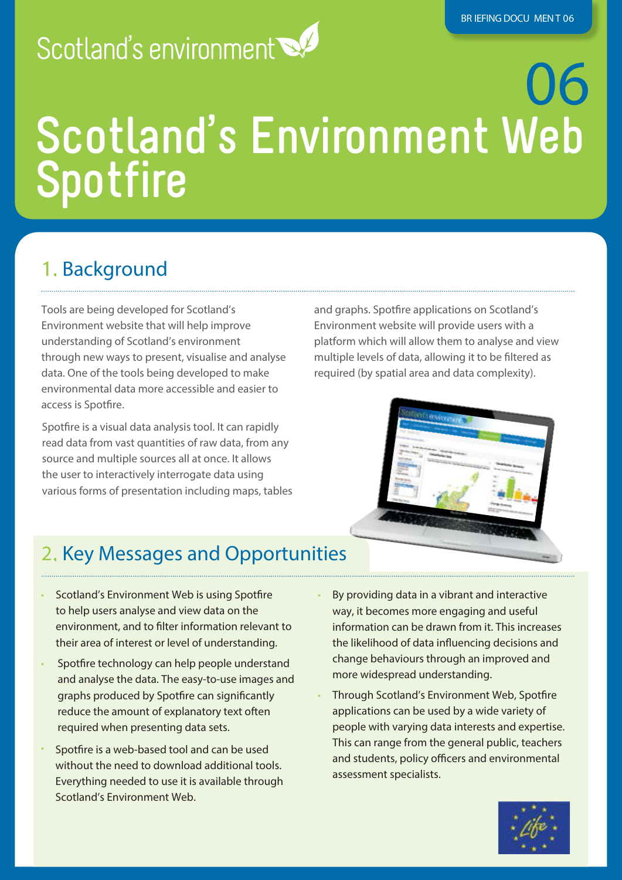# Scotland's environment

# 06 **Scotland's Environment Web Spotfire**

## 1. Background

Tools are being developed for Scotland's Environment website that will help improve understanding of Scotland's environment through new ways to present, visualise and analyse data. One of the tools being developed to make environmental data more accessible and easier to access is Spotfire.

Spotfire is a visual data analysis tool. It can rapidly read data from vast quantities of raw data, from any source and multiple sources all at once. It allows the user to interactively interrogate data using various forms of presentation including maps, tables

and graphs. Spotfire applications on Scotland's Environment website will provide users with a platform which will allow them to analyse and view multiple levels of data, allowing it to be filtered as required (by spatial area and data complexity).



## 2. Key Messages and Opportunities

- Scotland's Environment Web is using Spotfire to help users analyse and view data on the environment, and to filter information relevant to their area of interest or level of understanding.
- Spotfire technology can help people understand and analyse the data. The easy-to-use images and graphs produced by Spotfire can significantly reduce the amount of explanatory text often required when presenting data sets.
- Spotfire is a web-based tool and can be used without the need to download additional tools. Everything needed to use it is available through Scotland's Environment Web.
- By providing data in a vibrant and interactive way, it becomes more engaging and useful information can be drawn from it. This increases the likelihood of data influencing decisions and change behaviours through an improved and more widespread understanding.
- Through Scotland's Environment Web, Spotfire applications can be used by a wide variety of people with varying data interests and expertise. This can range from the general public, teachers and students, policy officers and environmental assessment specialists.